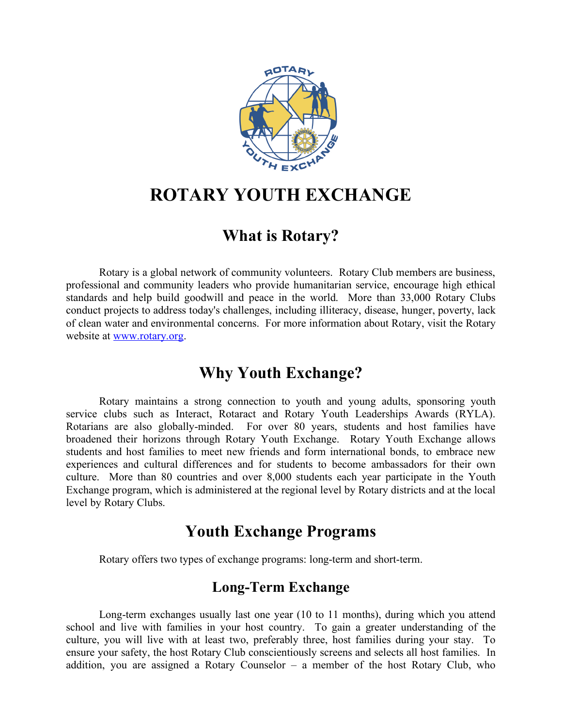

# **ROTARY YOUTH EXCHANGE**

## **What is Rotary?**

Rotary is a global network of community volunteers. Rotary Club members are business, professional and community leaders who provide humanitarian service, encourage high ethical standards and help build goodwill and peace in the world. More than 33,000 Rotary Clubs conduct projects to address today's challenges, including illiteracy, disease, hunger, poverty, lack of clean water and environmental concerns. For more information about Rotary, visit the Rotary website at [www.rotary.org.](http://www.rotary.org/)

## **Why Youth Exchange?**

Rotary maintains a strong connection to youth and young adults, sponsoring youth service clubs such as Interact, Rotaract and Rotary Youth Leaderships Awards (RYLA). Rotarians are also globally-minded. For over 80 years, students and host families have broadened their horizons through Rotary Youth Exchange. Rotary Youth Exchange allows students and host families to meet new friends and form international bonds, to embrace new experiences and cultural differences and for students to become ambassadors for their own culture. More than 80 countries and over 8,000 students each year participate in the Youth Exchange program, which is administered at the regional level by Rotary districts and at the local level by Rotary Clubs.

## **Youth Exchange Programs**

Rotary offers two types of exchange programs: long-term and short-term.

### **Long-Term Exchange**

 Long-term exchanges usually last one year (10 to 11 months), during which you attend school and live with families in your host country. To gain a greater understanding of the culture, you will live with at least two, preferably three, host families during your stay. To ensure your safety, the host Rotary Club conscientiously screens and selects all host families. In addition, you are assigned a Rotary Counselor – a member of the host Rotary Club, who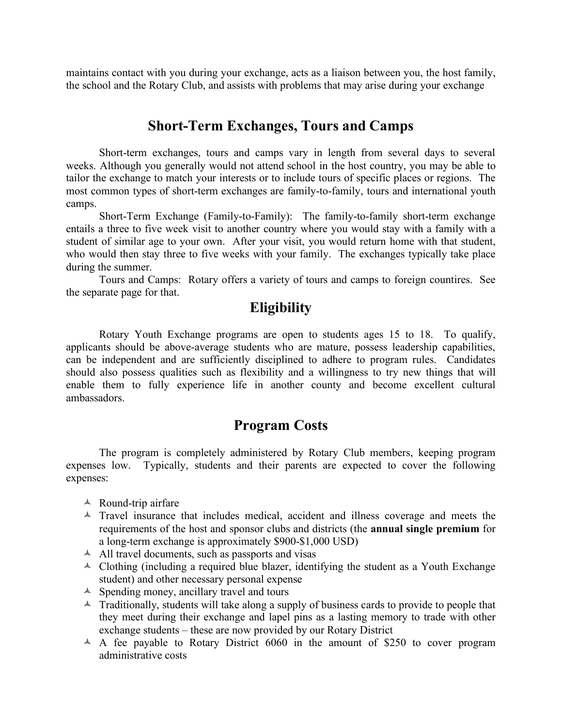maintains contact with you during your exchange, acts as a liaison between you, the host family, the school and the Rotary Club, and assists with problems that may arise during your exchange

#### **Short-Term Exchanges, Tours and Camps**

Short-term exchanges, tours and camps vary in length from several days to several weeks. Although you generally would not attend school in the host country, you may be able to tailor the exchange to match your interests or to include tours of specific places or regions. The most common types of short-term exchanges are family-to-family, tours and international youth camps.

Short-Term Exchange (Family-to-Family): The family-to-family short-term exchange entails a three to five week visit to another country where you would stay with a family with a student of similar age to your own. After your visit, you would return home with that student, who would then stay three to five weeks with your family. The exchanges typically take place during the summer.

Tours and Camps: Rotary offers a variety of tours and camps to foreign countires. See the separate page for that.

#### **Eligibility**

Rotary Youth Exchange programs are open to students ages 15 to 18. To qualify, applicants should be above-average students who are mature, possess leadership capabilities, can be independent and are sufficiently disciplined to adhere to program rules. Candidates should also possess qualities such as flexibility and a willingness to try new things that will enable them to fully experience life in another county and become excellent cultural ambassadors.

#### **Program Costs**

The program is completely administered by Rotary Club members, keeping program expenses low. Typically, students and their parents are expected to cover the following expenses:

- $\triangle$  Round-trip airfare
- $\triangle$  Travel insurance that includes medical, accident and illness coverage and meets the requirements of the host and sponsor clubs and districts (the **annual single premium** for a long-term exchange is approximately \$900-\$1,000 USD)
- $\triangle$  All travel documents, such as passports and visas
- $\triangle$  Clothing (including a required blue blazer, identifying the student as a Youth Exchange student) and other necessary personal expense
- $\triangle$  Spending money, ancillary travel and tours
- $\triangle$  Traditionally, students will take along a supply of business cards to provide to people that they meet during their exchange and lapel pins as a lasting memory to trade with other exchange students – these are now provided by our Rotary District
- $\triangle$  A fee payable to Rotary District 6060 in the amount of \$250 to cover program administrative costs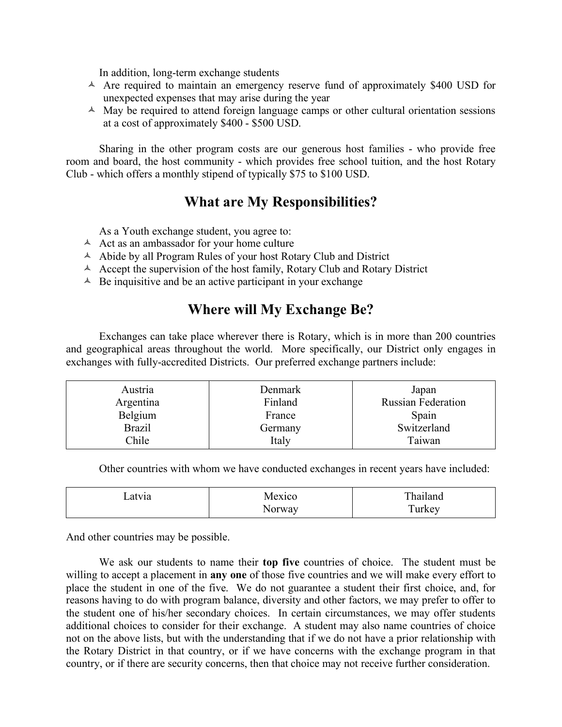In addition, long-term exchange students

- $\triangle$  Are required to maintain an emergency reserve fund of approximately \$400 USD for unexpected expenses that may arise during the year
- $\triangle$  May be required to attend foreign language camps or other cultural orientation sessions at a cost of approximately \$400 - \$500 USD.

Sharing in the other program costs are our generous host families - who provide free room and board, the host community - which provides free school tuition, and the host Rotary Club - which offers a monthly stipend of typically \$75 to \$100 USD.

#### **What are My Responsibilities?**

As a Youth exchange student, you agree to:

- $\triangle$  Act as an ambassador for your home culture
- $\triangle$  Abide by all Program Rules of your host Rotary Club and District
- $\triangle$  Accept the supervision of the host family, Rotary Club and Rotary District
- $\triangle$  Be inquisitive and be an active participant in your exchange

#### **Where will My Exchange Be?**

Exchanges can take place wherever there is Rotary, which is in more than 200 countries and geographical areas throughout the world. More specifically, our District only engages in exchanges with fully-accredited Districts. Our preferred exchange partners include:

| Austria<br>Argentina | Denmark<br>Finland | Japan<br><b>Russian Federation</b> |
|----------------------|--------------------|------------------------------------|
| Belgium              | France             | Spain                              |
| <b>Brazil</b>        | Germany            | Switzerland                        |
| Chile                | Italy              | Taiwan                             |

Other countries with whom we have conducted exchanges in recent years have included:

| _atv1a | Mexico | Thailand |
|--------|--------|----------|
|        | Norway | Turkey   |

And other countries may be possible.

We ask our students to name their **top five** countries of choice. The student must be willing to accept a placement in **any one** of those five countries and we will make every effort to place the student in one of the five. We do not guarantee a student their first choice, and, for reasons having to do with program balance, diversity and other factors, we may prefer to offer to the student one of his/her secondary choices. In certain circumstances, we may offer students additional choices to consider for their exchange. A student may also name countries of choice not on the above lists, but with the understanding that if we do not have a prior relationship with the Rotary District in that country, or if we have concerns with the exchange program in that country, or if there are security concerns, then that choice may not receive further consideration.